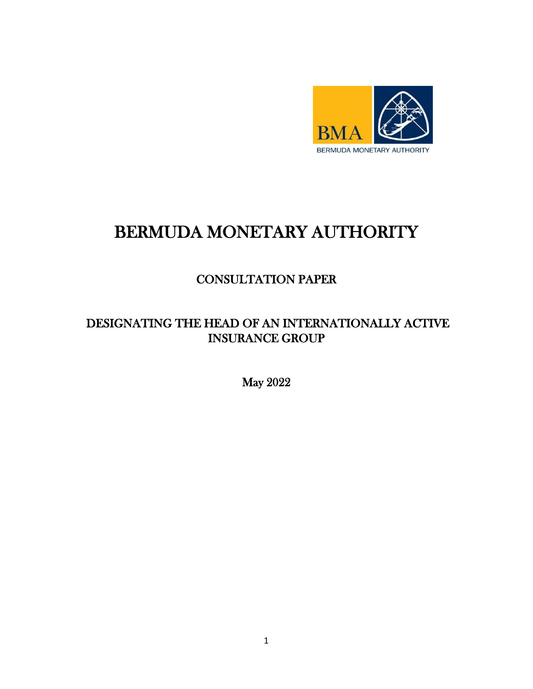

# BERMUDA MONETARY AUTHORITY

## CONSULTATION PAPER

## DESIGNATING THE HEAD OF AN INTERNATIONALLY ACTIVE INSURANCE GROUP

May 2022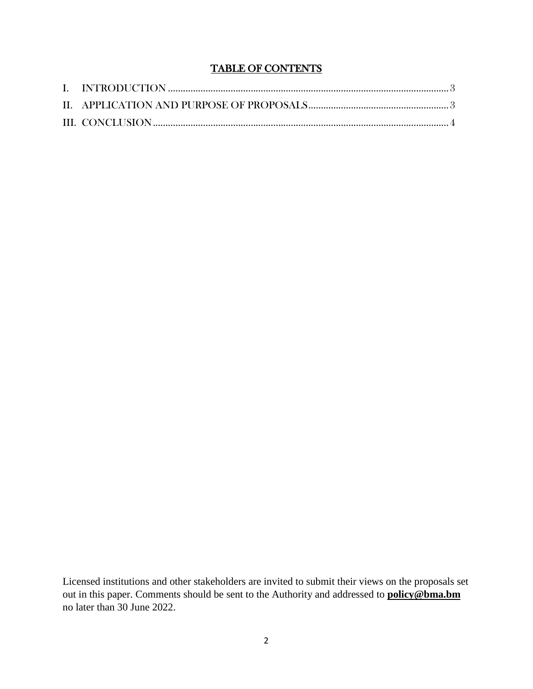### TABLE OF CONTENTS

Licensed institutions and other stakeholders are invited to submit their views on the proposals set out in this paper. Comments should be sent to the Authority and addressed to **policy@bma.bm** no later than 30 June 2022.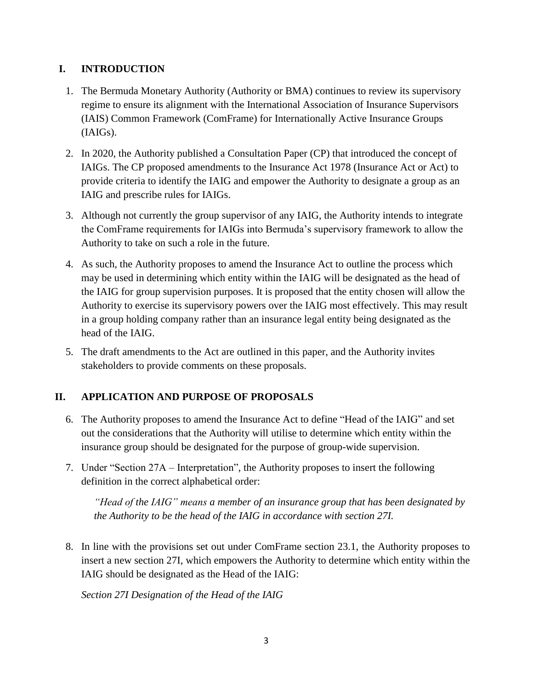#### <span id="page-2-0"></span>**I. INTRODUCTION**

- 1. The Bermuda Monetary Authority (Authority or BMA) continues to review its supervisory regime to ensure its alignment with the International Association of Insurance Supervisors (IAIS) Common Framework (ComFrame) for Internationally Active Insurance Groups (IAIGs).
- 2. In 2020, the Authority published a Consultation Paper (CP) that introduced the concept of IAIGs. The CP proposed amendments to the Insurance Act 1978 (Insurance Act or Act) to provide criteria to identify the IAIG and empower the Authority to designate a group as an IAIG and prescribe rules for IAIGs.
- 3. Although not currently the group supervisor of any IAIG, the Authority intends to integrate the ComFrame requirements for IAIGs into Bermuda's supervisory framework to allow the Authority to take on such a role in the future.
- 4. As such, the Authority proposes to amend the Insurance Act to outline the process which may be used in determining which entity within the IAIG will be designated as the head of the IAIG for group supervision purposes. It is proposed that the entity chosen will allow the Authority to exercise its supervisory powers over the IAIG most effectively. This may result in a group holding company rather than an insurance legal entity being designated as the head of the IAIG.
- 5. The draft amendments to the Act are outlined in this paper, and the Authority invites stakeholders to provide comments on these proposals.

#### <span id="page-2-1"></span>**II. APPLICATION AND PURPOSE OF PROPOSALS**

- 6. The Authority proposes to amend the Insurance Act to define "Head of the IAIG" and set out the considerations that the Authority will utilise to determine which entity within the insurance group should be designated for the purpose of group-wide supervision.
- 7. Under "Section 27A Interpretation", the Authority proposes to insert the following definition in the correct alphabetical order:

*"Head of the IAIG" means a member of an insurance group that has been designated by the Authority to be the head of the IAIG in accordance with section 27I.* 

8. In line with the provisions set out under ComFrame section 23.1, the Authority proposes to insert a new section 27I, which empowers the Authority to determine which entity within the IAIG should be designated as the Head of the IAIG:

*Section 27I Designation of the Head of the IAIG*